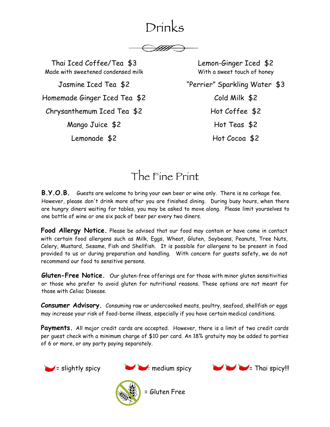# Drinks

Thai Iced Coffee/Tea \$3 Made with sweetened condensed milk

Jasmine Iced Tea \$2 Homemade Ginger Iced Tea \$2 Chrysanthemum Iced Tea \$2

Mango Juice \$2

Lemonade \$2

Lemon-Ginger Iced \$2 With a sweet touch of honey "Perrier" Sparkling Water \$3 Cold Milk \$2 Hot Coffee \$2 Hot Teas \$2

Hot Cocoa \$2

# The Fine Print

**B.Y.O.B.** Guests are welcome to bring your own beer or wine only. There is no corkage fee. However, please don't drink more after you are finished dining. During busy hours, when there are hungry diners waiting for tables, you may be asked to move along. Please limit yourselves to one bottle of wine or one six pack of beer per every two diners.

**Food Allergy Notice.** Please be advised that our food may contain or have come in contact with certain food allergens such as Milk, Eggs, Wheat, Gluten, Soybeans, Peanuts, Tree Nuts, Celery, Mustard, Sesame, Fish and Shellfish. It is possible for allergens to be present in food provided to us or during preparation and handling. With concern for guests safety, we do not recommend our food to sensitive persons.

**Gluten-Free Notice.** Our gluten-free offerings are for those with minor gluten sensitivities or those who prefer to avoid gluten for nutritional reasons. These options are not meant for those with Celiac Disease.

**Consumer Advisory.** Consuming raw or undercooked meats, poultry, seafood, shellfish or eggs may increase your risk of food-borne illness, especially if you have certain medical conditions.

**Payments.** All major credit cards are accepted. However, there is a limit of two credit cards per guest check with a minimum charge of \$10 per card. An 18% gratuity may be added to parties of 6 or more, or any party paying separately.









= Gluten Free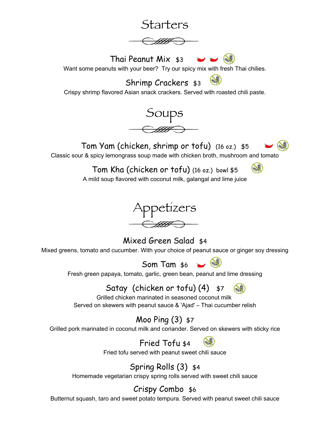# Starters Thai Peanut Mix \$3 Want some peanuts with your beer? Try our spicy mix with fresh Thai chilies. Shrimp Crackers \$3 Crispy shrimp flavored Asian snack crackers. Served with roasted chili paste. Soups Tom Yam (chicken, shrimp or tofu) (16 oz.) \$5



Classic sour & spicy lemongrass soup made with chicken broth, mushroom and tomato

Tom Kha (chicken or tofu) (16 oz.) bowl \$5



A mild soup flavored with coconut milk, galangal and lime juice



Mixed Green Salad \$4 Mixed greens, tomato and cucumber. With your choice of peanut sauce or ginger soy dressing



Fresh green papaya, tomato, garlic, green bean, peanut and lime dressing

# Satay (chicken or tofu) (4) \$7

Grilled chicken marinated in seasoned coconut milk Served on skewers with peanut sauce & 'Ajad' – Thai cucumber relish

# Moo Ping (3) \$7

Grilled pork marinated in coconut milk and coriander. Served on skewers with sticky rice

Fried Tofu \$4

Fried tofu served with peanut sweet chili sauce

# Spring Rolls (3) \$4

Homemade vegetarian crispy spring rolls served with sweet chili sauce

# Crispy Combo \$6

Butternut squash, taro and sweet potato tempura. Served with peanut sweet chili sauce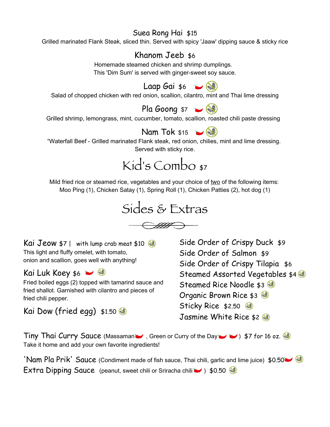### Suea Rong Hai \$15

Grilled marinated Flank Steak, sliced thin. Served with spicy 'Jaaw' dipping sauce & sticky rice

### Khanom Jeeb \$6

Homemade steamed chicken and shrimp dumplings. This 'Dim Sum' is served with ginger-sweet soy sauce.

# Laap Gai  $\ast$ 6

Salad of chopped chicken with red onion, scallion, cilantro, mint and Thai lime dressing

# Pla Goong  $$7 \rightarrow$

Grilled shrimp, lemongrass, mint, cucumber, tomato, scallion, roasted chili paste dressing

# Nam Tok  $$15$   $\rightarrow$   $\circledast$

"Waterfall Beef - Grilled marinated Flank steak, red onion, chilies, mint and lime dressing. Served with sticky rice.



Mild fried rice or steamed rice, vegetables and your choice of two of the following items: Moo Ping (1), Chicken Satay (1), Spring Roll (1), Chicken Patties (2), hot dog (1)



 $\bigoplus\limits_{\mathscr{H}}\bigoplus\limits_{\mathscr{H}}$ 

Kai Jeow  $$7$  | with lump crab meat  $$10$ This light and fluffy omelet, with tomato, onion and scallion, goes well with anything!

Kai Luk Koey  $$6 \rightarrow$ 

Fried boiled eggs (2) topped with tamarind sauce and fried shallot. Garnished with cilantro and pieces of fried chili pepper.

Kai Dow (fried egg) \$1.50

Side Order of Crispy Duck \$9 Side Order of Salmon \$9 Side Order of Crispy Tilapia \$6 Steamed Assorted Vegetables \$4 Steamed Rice Noodle \$3 Organic Brown Rice \$3 Sticky Rice \$2.50 Jasmine White Rice \$2

Tiny Thai Curry Sauce (Massaman , Green or Curry of the Day  $\rightarrow$  ) \$7 for 16 oz. Take it home and add your own favorite ingredients!

'Nam Pla Prik' Sauce (Condiment made of fish sauce, Thai chili, garlic and lime juice) \$0.50 Extra Dipping Sauce (peanut, sweet chili or Sriracha chili  $\rightarrow$  ) \$0.50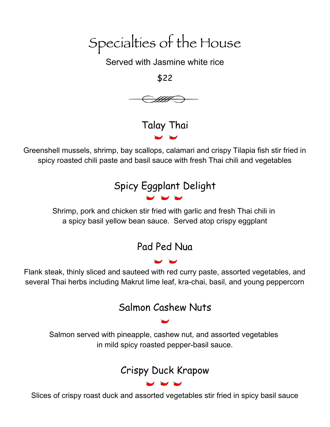Specialties of the House

Served with Jasmine white rice

\$22



Talay Thai

Greenshell mussels, shrimp, bay scallops, calamari and crispy Tilapia fish stir fried in spicy roasted chili paste and basil sauce with fresh Thai chili and vegetables

# Spicy Eggplant Delight

Shrimp, pork and chicken stir fried with garlic and fresh Thai chili in a spicy basil yellow bean sauce. Served atop crispy eggplant

# Pad Ped Nua

Flank steak, thinly sliced and sauteed with red curry paste, assorted vegetables, and several Thai herbs including Makrut lime leaf, kra-chai, basil, and young peppercorn

# Salmon Cashew Nuts

Salmon served with pineapple, cashew nut, and assorted vegetables in mild spicy roasted pepper-basil sauce.

# Crispy Duck Krapow

Slices of crispy roast duck and assorted vegetables stir fried in spicy basil sauce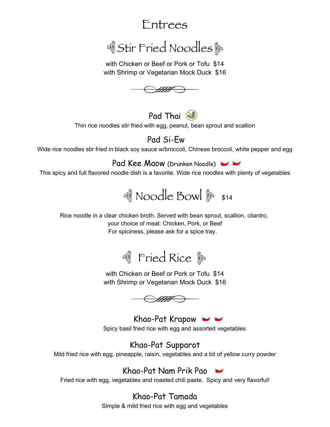# Entrees

# & Stir Fried Noodles

with Chicken or Beef or Pork or Tofu \$14 with Shrimp or Vegetarian Mock Duck \$16



Pad Thai Thin rice noodles stir fried with egg, peanut, bean sprout and scallion

## Pad Si-Ew

Wide rice noodles stir fried in black soy sauce w/broccoli, Chinese broccoli, white pepper and egg

Pad Kee Maow (Drunken Noodle)

This spicy and full flavored noodle dish is a favorite. Wide rice noodles with plenty of vegetables



Rice noodle in a clear chicken broth. Served with bean sprout, scallion, cilantro, your choice of meat: Chicken, Pork, or Beef For spiciness, please ask for a spice tray.



with Chicken or Beef or Pork or Tofu \$14 with Shrimp or Vegetarian Mock Duck \$16



Khao-Pat Krapow Spicy basil fried rice with egg and assorted vegetables

Khao-Pat Supparot Mild fried rice with egg, pineapple, raisin, vegetables and a bit of yellow curry powder

Khao-Pat Nam Prik Pao Fried rice with egg, vegetables and roasted chili paste. Spicy and very flavorful!

> Khao-Pat Tamada Simple & mild fried rice with egg and vegetables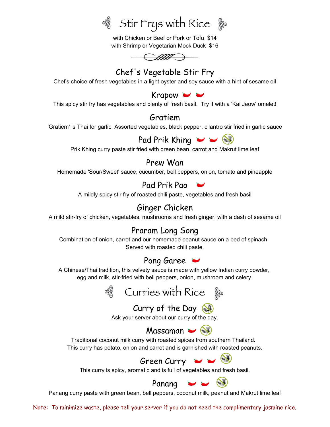<sup>。</sup>Stir Frys with Rice &

with Chicken or Beef or Pork or Tofu \$14 with Shrimp or Vegetarian Mock Duck \$16



### Chef's Vegetable Stir Fry

Chef's choice of fresh vegetables in a light oyster and soy sauce with a hint of sesame oil

#### Krapow  $\rightarrow$

This spicy stir fry has vegetables and plenty of fresh basil. Try it with a 'Kai Jeow' omelet!

#### Gratiem

'Gratiem' is Thai for garlic. Assorted vegetables, black pepper, cilantro stir fried in garlic sauce



Prik Khing curry paste stir fried with green bean, carrot and Makrut lime leaf

### Prew Wan

Homemade 'Sour/Sweet' sauce, cucumber, bell peppers, onion, tomato and pineapple

### Pad Prik Pao

A mildly spicy stir fry of roasted chili paste, vegetables and fresh basil

### Ginger Chicken

A mild stir-fry of chicken, vegetables, mushrooms and fresh ginger, with a dash of sesame oil

### Praram Long Song

Combination of onion, carrot and our homemade peanut sauce on a bed of spinach. Served with roasted chili paste.

### Pong Garee

A Chinese/Thai tradition, this velvety sauce is made with yellow Indian curry powder, egg and milk, stir-fried with bell peppers, onion, mushroom and celery.



## Curry of the Day

Ask your server about our curry of the day.



Traditional coconut milk curry with roasted spices from southern Thailand. This curry has potato, onion and carrot and is garnished with roasted peanuts.

# Green Curry  $\rightarrow$   $\rightarrow$

This curry is spicy, aromatic and is full of vegetables and fresh basil.

Panang

Panang curry paste with green bean, bell peppers, coconut milk, peanut and Makrut lime leaf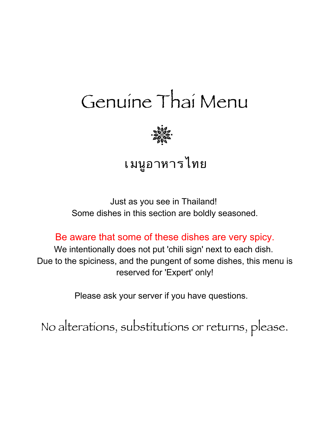# Genuine Thai Menu



# เมนูอาหารไทย

Just as you see in Thailand! Some dishes in this section are boldly seasoned.

Be aware that some of these dishes are very spicy.

We intentionally does not put 'chili sign' next to each dish. Due to the spiciness, and the pungent of some dishes, this menu is reserved for 'Expert' only!

Please ask your server if you have questions.

No alterations, substitutions or returns, please.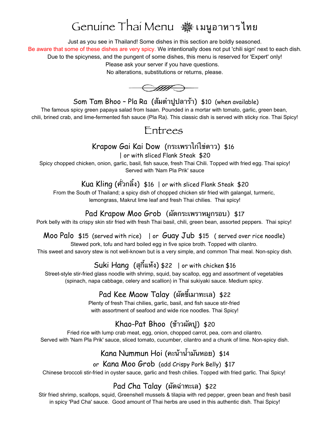# Genuine Thai Menu เมนูอาหารไทย

Just as you see in Thailand! Some dishes in this section are boldly seasoned. Be aware that some of these dishes are very spicy. We intentionally does not put 'chili sign' next to each dish. Due to the spicyness, and the pungent of some dishes, this menu is reserved for 'Expert' only!

Please ask your server if you have questions.

No alterations, substitutions or returns, please.

 $-\textcolor{red}{\bigcirc\textcolor{blue}{\textcolor{blue}{\textbf{HHP}}}}$ 

Som Tam Bhoo - Pla Ra (ส้มตำปูปลาร้า) \$10 (when available)

The famous spicy green papaya salad from Isaan. Pounded in a mortar with tomato, garlic, green bean, chili, brined crab, and lime-fermented fish sauce (Pla Ra). This classic dish is served with sticky rice. Thai Spicy!

Entrees

### Krapow Gai Kai Dow (กระเพราไกไขดาว) \$16

| or with sliced Flank Steak \$20

Spicy chopped chicken, onion, garlic, basil, fish sauce, fresh Thai Chili. Topped with fried egg. Thai spicy! Served with 'Nam Pla Prik' sauce

### Kua Kling (ควกลง) \$16 | or with sliced Flank Steak \$20

From the South of Thailand; a spicy dish of chopped chicken stir fried with galangal, turmeric, lemongrass, Makrut lime leaf and fresh Thai chilies. Thai spicy!

### Pad Krapow Moo Grob (ผดกระเพราหมกรอบ) \$17

Pork belly with its crispy skin stir fried with fresh Thai basil, chili, green bean, assorted peppers. Thai spicy!

### Moo Palo \$15 (served with rice) | or Guay Jub \$15 ( served over rice noodle)

Stewed pork, tofu and hard boiled egg in five spice broth. Topped with cilantro.

This sweet and savory stew is not well-known but is a very simple, and common Thai meal. Non-spicy dish.

## Suki Hang (สุกี้แห้ง) \$22 | or with chicken \$16

Street-style stir-fried glass noodle with shrimp, squid, bay scallop, egg and assortment of vegetables (spinach, napa cabbage, celery and scallion) in Thai sukiyaki sauce. Medium spicy.

# Pad Kee Maow Talay (ผัดขี้เมาทะเล) \$22

Plenty of fresh Thai chilies, garlic, basil, and fish sauce stir-fried with assortment of seafood and wide rice noodles. Thai Spicy!

# Khao-Pat Bhoo (ขาวผดป) \$20

Fried rice with lump crab meat, egg, onion, chopped carrot, pea, corn and cilantro. Served with 'Nam Pla Prik' sauce, sliced tomato, cucumber, cilantro and a chunk of lime. Non-spicy dish.

# $K$ ana Nummun Hoi (คะน้าน้ำมันหอย)  $$14$

or Kana Moo Grob (add Crispy Pork Belly) \$17

Chinese broccoli stir-fried in oyster sauce, garlic and fresh chilies. Topped with fried garlic. Thai Spicy!

## Pad Cha Talay (ผดฉาทะเล) \$22

Stir fried shrimp, scallops, squid, Greenshell mussels & tilapia with red pepper, green bean and fresh basil in spicy 'Pad Cha' sauce. Good amount of Thai herbs are used in this authentic dish. Thai Spicy!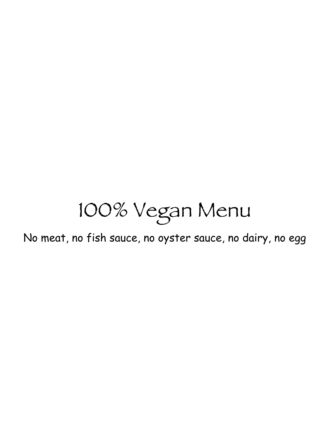# 100% Vegan Menu

No meat, no fish sauce, no oyster sauce, no dairy, no egg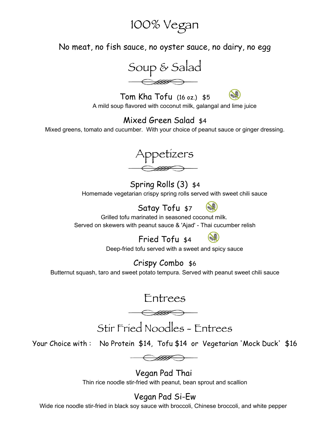# 100% Vegan

No meat, no fish sauce, no oyster sauce, no dairy, no egg



Tom Kha Tofu (16 oz.) \$5 A mild soup flavored with coconut milk, galangal and lime juice

# Mixed Green Salad \$4

Mixed greens, tomato and cucumber. With your choice of peanut sauce or ginger dressing.



Spring Rolls (3) \$4 Homemade vegetarian crispy spring rolls served with sweet chili sauce

> Satay Tofu \$7 Grilled tofu marinated in seasoned coconut milk.

Served on skewers with peanut sauce & 'Ajad' - Thai cucumber relish



3

Deep-fried tofu served with a sweet and spicy sauce

## Crispy Combo \$6

Butternut squash, taro and sweet potato tempura. Served with peanut sweet chili sauce

Entrees

 $-\epsilon$ 

Stir Fried Noodles - Entrees

Your Choice with : No Protein \$14, Tofu \$14 or Vegetarian 'Mock Duck' \$16

 $\bigoplus$ 

Vegan Pad Thai Thin rice noodle stir-fried with peanut, bean sprout and scallion

# Vegan Pad Si-Ew

Wide rice noodle stir-fried in black soy sauce with broccoli, Chinese broccoli, and white pepper